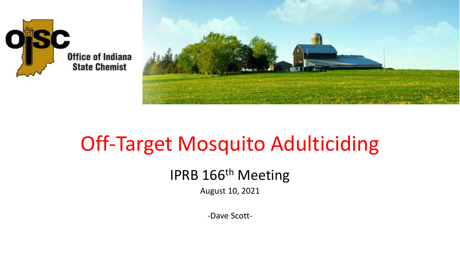



## Off-Target Mosquito Adulticiding

#### IPRB 166<sup>th</sup> Meeting

August 10, 2021

-Dave Scott-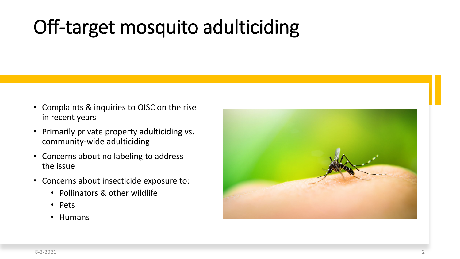## Off-target mosquito adulticiding

- Complaints & inquiries to OISC on the rise in recent years
- Primarily private property adulticiding vs. community-wide adulticiding
- Concerns about no labeling to address the issue
- Concerns about insecticide exposure to:
	- Pollinators & other wildlife
	- Pets
	- Humans

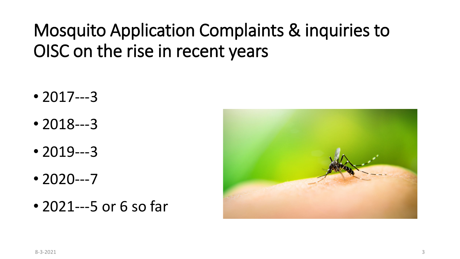### Mosquito Application Complaints & inquiries to OISC on the rise in recent years

- 2017---3
- 2018---3
- 2019---3
- 2020---7
- 2021---5 or 6 so far

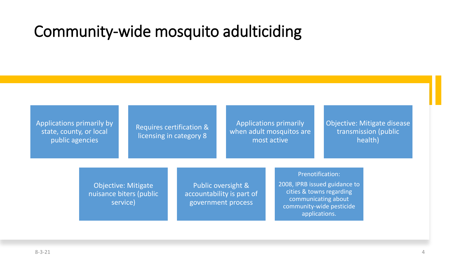#### Community-wide mosquito adulticiding

Applications primarily by state, county, or local public agencies

Requires certification & licensing in category 8

Applications primarily when adult mosquitos are most active

Objective: Mitigate disease transmission (public health)

Objective: Mitigate nuisance biters (public service)

Public oversight & accountability is part of government process

Prenotification: 2008, IPRB issued guidance to cities & towns regarding

communicating about community-wide pesticide applications.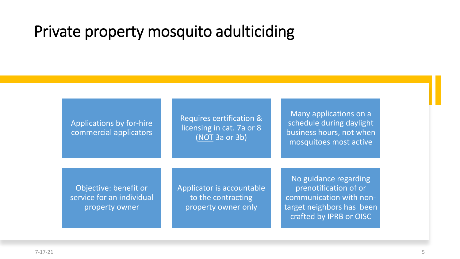#### Private property mosquito adulticiding

Applications by for-hire commercial applicators Requires certification & licensing in cat. 7a or 8 (NOT 3a or 3b)

Many applications on a schedule during daylight business hours, not when mosquitoes most active

Objective: benefit or service for an individual property owner

Applicator is accountable to the contracting property owner only

No guidance regarding prenotification of or communication with nontarget neighbors has been crafted by IPRB or OISC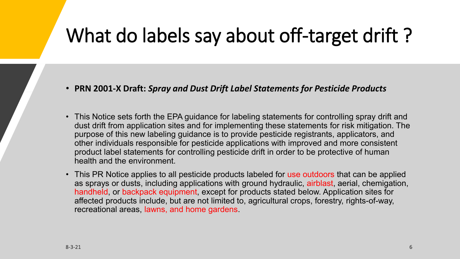### What do labels say about off-target drift ?

- **PRN 2001-X Draft:** *Spray and Dust Drift Label Statements for Pesticide Products*
- This Notice sets forth the EPA guidance for labeling statements for controlling spray drift and dust drift from application sites and for implementing these statements for risk mitigation. The purpose of this new labeling guidance is to provide pesticide registrants, applicators, and other individuals responsible for pesticide applications with improved and more consistent product label statements for controlling pesticide drift in order to be protective of human health and the environment.
- This PR Notice applies to all pesticide products labeled for use outdoors that can be applied as sprays or dusts, including applications with ground hydraulic, airblast, aerial, chemigation, handheld, or backpack equipment, except for products stated below. Application sites for affected products include, but are not limited to, agricultural crops, forestry, rights-of-way, recreational areas, lawns, and home gardens.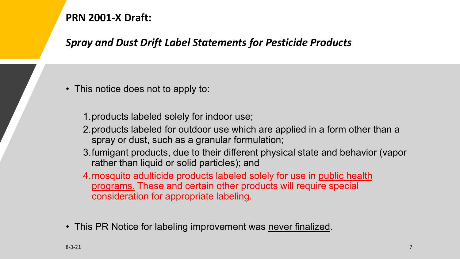#### **PRN 2001-X Draft:**

#### *Spray and Dust Drift Label Statements for Pesticide Products*

• This notice does not to apply to:

1.products labeled solely for indoor use;

- 2.products labeled for outdoor use which are applied in a form other than a spray or dust, such as a granular formulation;
- 3.fumigant products, due to their different physical state and behavior (vapor rather than liquid or solid particles); and
- 4.mosquito adulticide products labeled solely for use in public health programs. These and certain other products will require special consideration for appropriate labeling.
- This PR Notice for labeling improvement was never finalized.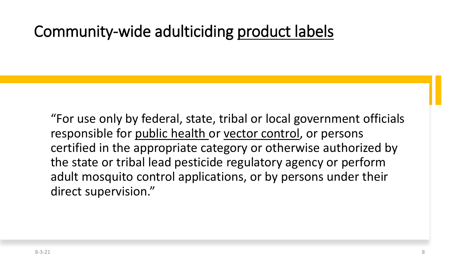#### Community-wide adulticiding product labels

"For use only by federal, state, tribal or local government officials responsible for public health or vector control, or persons certified in the appropriate category or otherwise authorized by the state or tribal lead pesticide regulatory agency or perform adult mosquito control applications, or by persons under their direct supervision."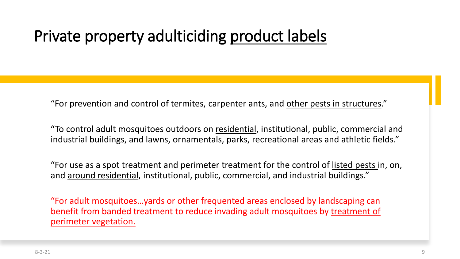### Private property adulticiding product labels

"For prevention and control of termites, carpenter ants, and other pests in structures."

"To control adult mosquitoes outdoors on residential, institutional, public, commercial and industrial buildings, and lawns, ornamentals, parks, recreational areas and athletic fields."

"For use as a spot treatment and perimeter treatment for the control of listed pests in, on, and around residential, institutional, public, commercial, and industrial buildings."

"For adult mosquitoes…yards or other frequented areas enclosed by landscaping can benefit from banded treatment to reduce invading adult mosquitoes by treatment of perimeter vegetation.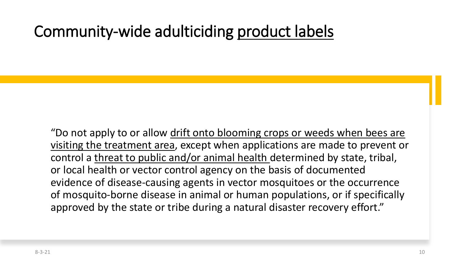### Community-wide adulticiding product labels

"Do not apply to or allow drift onto blooming crops or weeds when bees are visiting the treatment area, except when applications are made to prevent or control a threat to public and/or animal health determined by state, tribal, or local health or vector control agency on the basis of documented evidence of disease-causing agents in vector mosquitoes or the occurrence of mosquito-borne disease in animal or human populations, or if specifically approved by the state or tribe during a natural disaster recovery effort."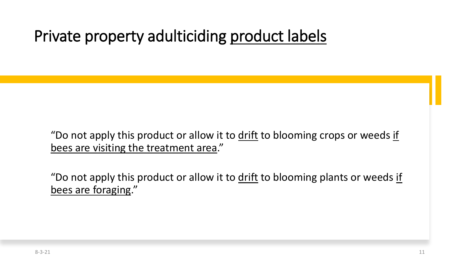### Private property adulticiding product labels

"Do not apply this product or allow it to drift to blooming crops or weeds if bees are visiting the treatment area."

"Do not apply this product or allow it to drift to blooming plants or weeds if bees are foraging."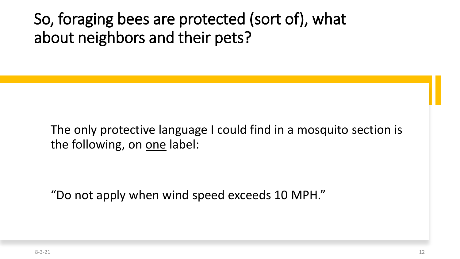### So, foraging bees are protected (sort of), what about neighbors and their pets?

The only protective language I could find in a mosquito section is the following, on one label:

"Do not apply when wind speed exceeds 10 MPH."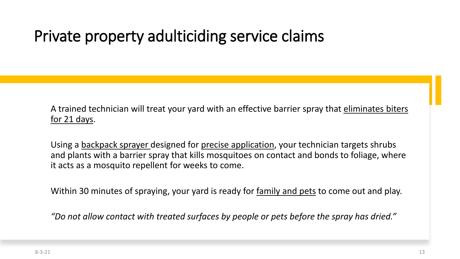A trained technician will treat your yard with an effective barrier spray that eliminates biters for 21 days.

Using a backpack sprayer designed for precise application, your technician targets shrubs and plants with a barrier spray that kills mosquitoes on contact and bonds to foliage, where it acts as a mosquito repellent for weeks to come.

Within 30 minutes of spraying, your yard is ready for family and pets to come out and play.

*"Do not allow contact with treated surfaces by people or pets before the spray has dried."*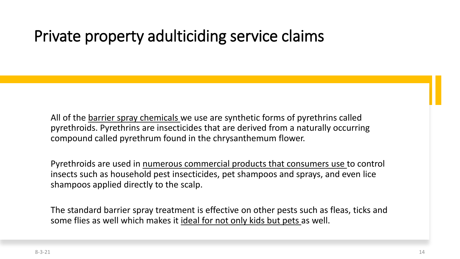All of the barrier spray chemicals we use are synthetic forms of pyrethrins called pyrethroids. Pyrethrins are insecticides that are derived from a naturally occurring compound called pyrethrum found in the chrysanthemum flower.

Pyrethroids are used in numerous commercial products that consumers use to control insects such as household pest insecticides, pet shampoos and sprays, and even lice shampoos applied directly to the scalp.

The standard barrier spray treatment is effective on other pests such as fleas, ticks and some flies as well which makes it ideal for not only kids but pets as well.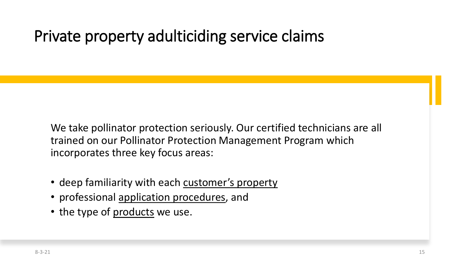We take pollinator protection seriously. Our certified technicians are all trained on our Pollinator Protection Management Program which incorporates three key focus areas:

- deep familiarity with each customer's property
- professional application procedures, and
- the type of products we use.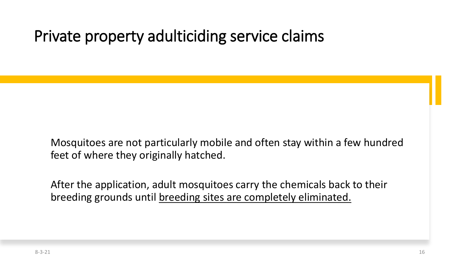Mosquitoes are not particularly mobile and often stay within a few hundred feet of where they originally hatched.

After the application, adult mosquitoes carry the chemicals back to their breeding grounds until breeding sites are completely eliminated.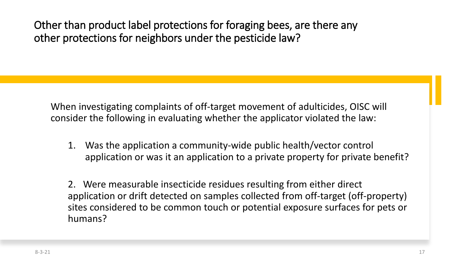Other than product label protections for foraging bees, are there any other protections for neighbors under the pesticide law?

When investigating complaints of off-target movement of adulticides, OISC will consider the following in evaluating whether the applicator violated the law:

1. Was the application a community-wide public health/vector control application or was it an application to a private property for private benefit?

2. Were measurable insecticide residues resulting from either direct application or drift detected on samples collected from off-target (off-property) sites considered to be common touch or potential exposure surfaces for pets or humans?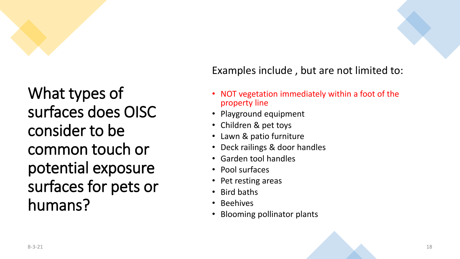

What types of surfaces does OISC consider to be common touch or potential exposure surfaces for pets or humans?

#### Examples include , but are not limited to:

- NOT vegetation immediately within a foot of the property line
- Playground equipment
- Children & pet toys
- Lawn & patio furniture
- Deck railings & door handles
- Garden tool handles
- Pool surfaces
- Pet resting areas
- Bird baths
- Beehives
- Blooming pollinator plants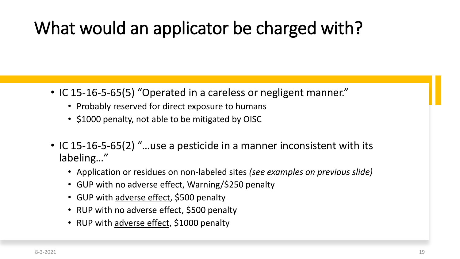### What would an applicator be charged with?

- IC 15-16-5-65(5) "Operated in a careless or negligent manner."
	- Probably reserved for direct exposure to humans
	- \$1000 penalty, not able to be mitigated by OISC
- IC 15-16-5-65(2) "...use a pesticide in a manner inconsistent with its labeling…"
	- Application or residues on non-labeled sites *(see examples on previous slide)*
	- GUP with no adverse effect, Warning/\$250 penalty
	- GUP with adverse effect, \$500 penalty
	- RUP with no adverse effect, \$500 penalty
	- RUP with adverse effect, \$1000 penalty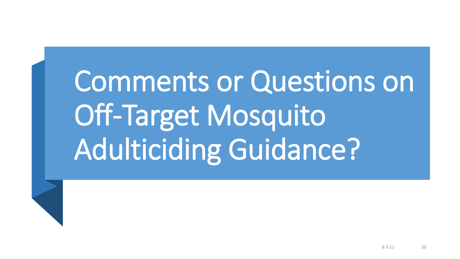Comments or Questions on Off-Target Mosquito Adulticiding Guidance?